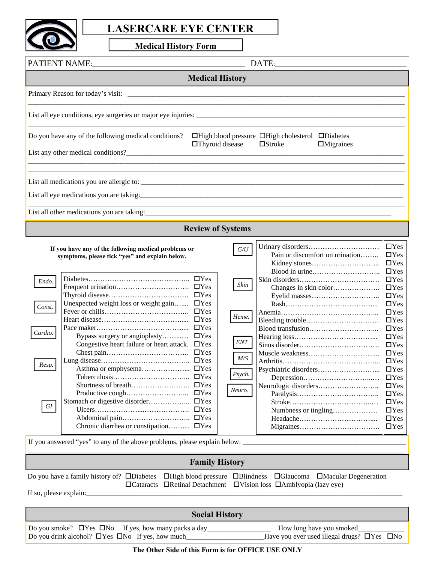

## **LASERCARE EYE CENTER**

**Medical History Form** 

| PATIENT NAME:                                                                                                                                                                                                                                                                                                                                                                                                                                                                  | DATE:                                                                                                                                                                                                                                                                                                                                                                                                                                                                             |  |  |  |  |  |
|--------------------------------------------------------------------------------------------------------------------------------------------------------------------------------------------------------------------------------------------------------------------------------------------------------------------------------------------------------------------------------------------------------------------------------------------------------------------------------|-----------------------------------------------------------------------------------------------------------------------------------------------------------------------------------------------------------------------------------------------------------------------------------------------------------------------------------------------------------------------------------------------------------------------------------------------------------------------------------|--|--|--|--|--|
| <b>Medical History</b>                                                                                                                                                                                                                                                                                                                                                                                                                                                         |                                                                                                                                                                                                                                                                                                                                                                                                                                                                                   |  |  |  |  |  |
| Primary Reason for today's visit:                                                                                                                                                                                                                                                                                                                                                                                                                                              |                                                                                                                                                                                                                                                                                                                                                                                                                                                                                   |  |  |  |  |  |
|                                                                                                                                                                                                                                                                                                                                                                                                                                                                                |                                                                                                                                                                                                                                                                                                                                                                                                                                                                                   |  |  |  |  |  |
| Do you have any of the following medical conditions?<br>List any other medical conditions?                                                                                                                                                                                                                                                                                                                                                                                     | □High blood pressure □High cholesterol □Diabetes<br>□Thyroid disease<br>$\square$ Stroke<br>$\Box$ Migraines                                                                                                                                                                                                                                                                                                                                                                      |  |  |  |  |  |
|                                                                                                                                                                                                                                                                                                                                                                                                                                                                                |                                                                                                                                                                                                                                                                                                                                                                                                                                                                                   |  |  |  |  |  |
| List all eye medications you are taking:                                                                                                                                                                                                                                                                                                                                                                                                                                       |                                                                                                                                                                                                                                                                                                                                                                                                                                                                                   |  |  |  |  |  |
| List all other medications you are taking:                                                                                                                                                                                                                                                                                                                                                                                                                                     | <u> 1989 - Johann Stein, mars an de Brazilia (b. 1989)</u>                                                                                                                                                                                                                                                                                                                                                                                                                        |  |  |  |  |  |
|                                                                                                                                                                                                                                                                                                                                                                                                                                                                                | <b>Review of Systems</b>                                                                                                                                                                                                                                                                                                                                                                                                                                                          |  |  |  |  |  |
| If you have any of the following medical problems or<br>symptoms, please tick "yes" and explain below.<br>Endo.<br>$\Box$ Yes<br>$\Box$ Yes<br>Unexpected weight loss or weight gain<br>$\Box$ Yes<br>Const.<br>$\Box$ Yes<br>$\Box$ Yes<br>$\Box$ Yes<br>Cardio.<br>$\Box$ Yes<br>Bypass surgery or angioplasty<br>Congestive heart failure or heart attack.<br>$\Box$ Yes<br>$\Box$ Yes<br>$\Box$ Yes<br>Resp.<br>$\Box$ Yes<br>GI<br>Chronic diarrhea or constipation  IYes | $\Box$ Yes<br>$G\!/\!U$<br>Pain or discomfort on urination<br>$\Box$ Yes<br>$\Box$ Yes<br>$\Box$ Yes<br>$\Box$ Yes<br>Skin<br>$\Box$ Yes<br>$\Box$ Yes<br>$\Box$ Yes<br>$\Box$ Yes<br>Heme.<br>$\Box$ Yes<br>$\Box$ Yes<br>$\Box$ Yes<br>$\ensuremath{\textit{ENT}}$<br>$\Box$ Yes<br>$\Box$ Yes<br>M/S<br>$\Box$ Yes<br>$\Box$ Yes<br>Psych.<br>$\Box$ Yes<br>$\Box$ Yes<br>Neuro.<br>$\Box$ Yes<br>$\Box$ Yes<br>$\Box$ Yes<br>Numbness or tingling<br>$\Box$ Yes<br>$\Box$ Yes |  |  |  |  |  |
|                                                                                                                                                                                                                                                                                                                                                                                                                                                                                |                                                                                                                                                                                                                                                                                                                                                                                                                                                                                   |  |  |  |  |  |
|                                                                                                                                                                                                                                                                                                                                                                                                                                                                                |                                                                                                                                                                                                                                                                                                                                                                                                                                                                                   |  |  |  |  |  |
| <b>Family History</b><br>Do you have a family history of? DDiabetes DHigh blood pressure DBlindness DGlaucoma DMacular Degeneration<br>□Vision loss □Amblyopia (lazy eye)<br>$\Box$ Cataracts $\Box$ Retinal Detachment<br>If so, please explain:                                                                                                                                                                                                                              |                                                                                                                                                                                                                                                                                                                                                                                                                                                                                   |  |  |  |  |  |
| <b>Social History</b>                                                                                                                                                                                                                                                                                                                                                                                                                                                          |                                                                                                                                                                                                                                                                                                                                                                                                                                                                                   |  |  |  |  |  |
| Do you drink alcohol? $\Box$ Yes $\Box$ No If yes, how much                                                                                                                                                                                                                                                                                                                                                                                                                    | How long have you smoked_<br>Have you ever used illegal drugs? $\Box$ Yes $\Box$ No                                                                                                                                                                                                                                                                                                                                                                                               |  |  |  |  |  |